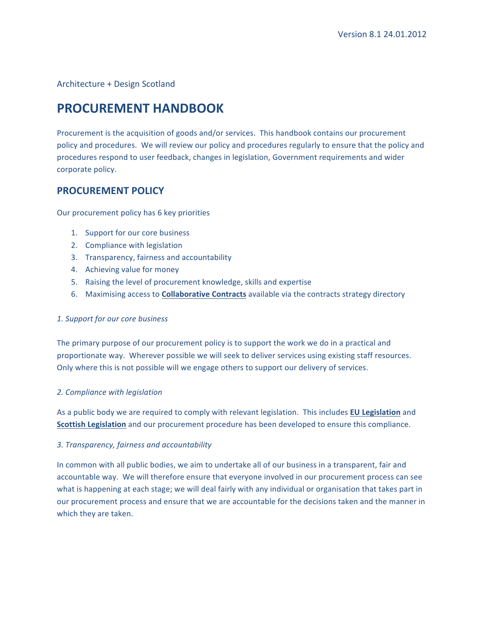Architecture + Design Scotland

# **PROCUREMENT HANDBOOK**

Procurement is the acquisition of goods and/or services. This handbook contains our procurement policy and procedures. We will review our policy and procedures regularly to ensure that the policy and procedures respond to user feedback, changes in legislation, Government requirements and wider corporate policy.

# **PROCUREMENT POLICY**

Our procurement policy has 6 key priorities

- 1. Support for our core business
- 2. Compliance with legislation
- 3. Transparency, fairness and accountability
- 4. Achieving value for money
- 5. Raising the level of procurement knowledge, skills and expertise
- 6. Maximising access to **Collaborative Contracts** available via the contracts strategy directory

# *1. Support for our core business*

The primary purpose of our procurement policy is to support the work we do in a practical and proportionate way. Wherever possible we will seek to deliver services using existing staff resources. Only where this is not possible will we engage others to support our delivery of services.

# *2. Compliance with legislation*

As a public body we are required to comply with relevant legislation. This includes **EU Legislation** and **Scottish Legislation** and our procurement procedure has been developed to ensure this compliance.

# *3. Transparency, fairness and accountability*

In common with all public bodies, we aim to undertake all of our business in a transparent, fair and accountable way. We will therefore ensure that everyone involved in our procurement process can see what is happening at each stage; we will deal fairly with any individual or organisation that takes part in our procurement process and ensure that we are accountable for the decisions taken and the manner in which they are taken.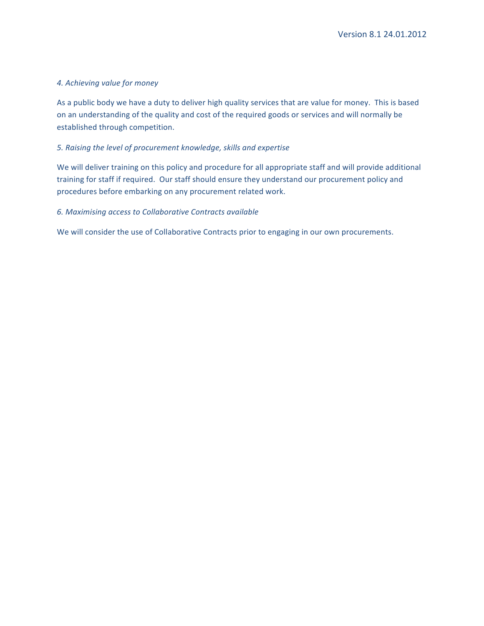# *4. Achieving value for money*

As a public body we have a duty to deliver high quality services that are value for money. This is based on an understanding of the quality and cost of the required goods or services and will normally be established through competition.

# *5. Raising the level of procurement knowledge, skills and expertise*

We will deliver training on this policy and procedure for all appropriate staff and will provide additional training for staff if required. Our staff should ensure they understand our procurement policy and procedures before embarking on any procurement related work.

#### *6. Maximising access to Collaborative Contracts available*

We will consider the use of Collaborative Contracts prior to engaging in our own procurements.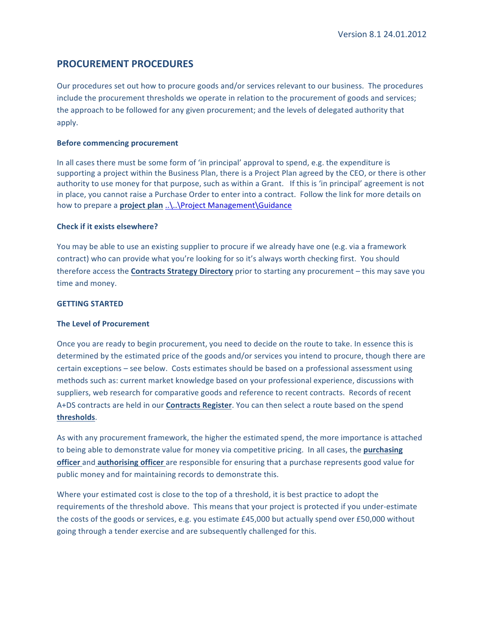# **PROCUREMENT PROCEDURES**

Our procedures set out how to procure goods and/or services relevant to our business. The procedures include the procurement thresholds we operate in relation to the procurement of goods and services; the approach to be followed for any given procurement; and the levels of delegated authority that apply. 

# **Before commencing procurement**

In all cases there must be some form of 'in principal' approval to spend, e.g. the expenditure is supporting a project within the Business Plan, there is a Project Plan agreed by the CEO, or there is other authority to use money for that purpose, such as within a Grant. If this is 'in principal' agreement is not in place, you cannot raise a Purchase Order to enter into a contract. Follow the link for more details on how to prepare a **project plan** ..\..\Project Management\Guidance

#### **Check if it exists elsewhere?**

You may be able to use an existing supplier to procure if we already have one (e.g. via a framework contract) who can provide what you're looking for so it's always worth checking first. You should therefore access the **Contracts Strategy Directory** prior to starting any procurement – this may save you time and money.

#### **GETTING STARTED**

# **The Level of Procurement**

Once you are ready to begin procurement, you need to decide on the route to take. In essence this is determined by the estimated price of the goods and/or services you intend to procure, though there are certain exceptions - see below. Costs estimates should be based on a professional assessment using methods such as: current market knowledge based on your professional experience, discussions with suppliers, web research for comparative goods and reference to recent contracts. Records of recent A+DS contracts are held in our **Contracts Register**. You can then select a route based on the spend **thresholds**.

As with any procurement framework, the higher the estimated spend, the more importance is attached to being able to demonstrate value for money via competitive pricing. In all cases, the **purchasing officer** and **authorising officer** are responsible for ensuring that a purchase represents good value for public money and for maintaining records to demonstrate this.

Where your estimated cost is close to the top of a threshold, it is best practice to adopt the requirements of the threshold above. This means that your project is protected if you under-estimate the costs of the goods or services, e.g. you estimate £45,000 but actually spend over £50,000 without going through a tender exercise and are subsequently challenged for this.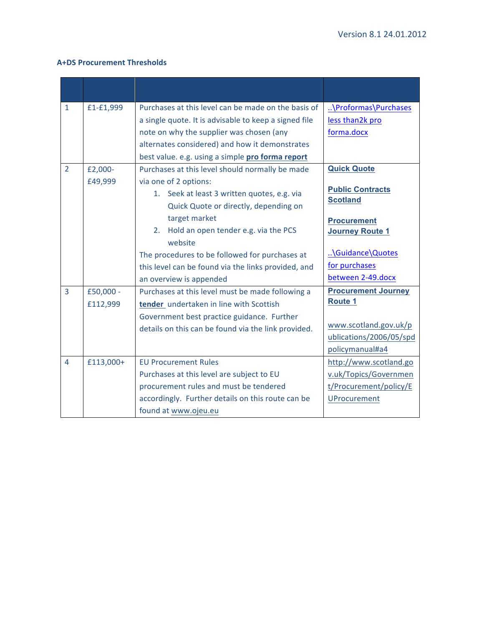# **A+DS Procurement Thresholds**

| $\mathbf{1}$   | £1-£1,999 | Purchases at this level can be made on the basis of   | \Proformas\Purchases                       |
|----------------|-----------|-------------------------------------------------------|--------------------------------------------|
|                |           | a single quote. It is advisable to keep a signed file | less than2k pro                            |
|                |           | note on why the supplier was chosen (any              | forma.docx                                 |
|                |           | alternates considered) and how it demonstrates        |                                            |
|                |           | best value. e.g. using a simple pro forma report      |                                            |
| $\overline{2}$ | £2,000-   | Purchases at this level should normally be made       | <b>Quick Quote</b>                         |
|                | £49,999   | via one of 2 options:                                 |                                            |
|                |           | 1. Seek at least 3 written quotes, e.g. via           | <b>Public Contracts</b><br><b>Scotland</b> |
|                |           | Quick Quote or directly, depending on                 |                                            |
|                |           | target market                                         | <b>Procurement</b>                         |
|                |           | Hold an open tender e.g. via the PCS<br>2.            | <b>Journey Route 1</b>                     |
|                |           | website                                               |                                            |
|                |           | The procedures to be followed for purchases at        | \Guidance\Quotes                           |
|                |           | this level can be found via the links provided, and   | for purchases                              |
|                |           | an overview is appended                               | between 2-49.docx                          |
| 3              | £50,000 - | Purchases at this level must be made following a      | <b>Procurement Journey</b>                 |
|                | £112,999  | tender undertaken in line with Scottish               | <b>Route 1</b>                             |
|                |           | Government best practice guidance. Further            |                                            |
|                |           | details on this can be found via the link provided.   | www.scotland.gov.uk/p                      |
|                |           |                                                       | ublications/2006/05/spd                    |
|                |           |                                                       | policymanual#a4                            |
| 4              | £113,000+ | <b>EU Procurement Rules</b>                           | http://www.scotland.go                     |
|                |           | Purchases at this level are subject to EU             | v.uk/Topics/Governmen                      |
|                |           | procurement rules and must be tendered                | t/Procurement/policy/E                     |
|                |           | accordingly. Further details on this route can be     | <b>UProcurement</b>                        |
|                |           | found at www.ojeu.eu                                  |                                            |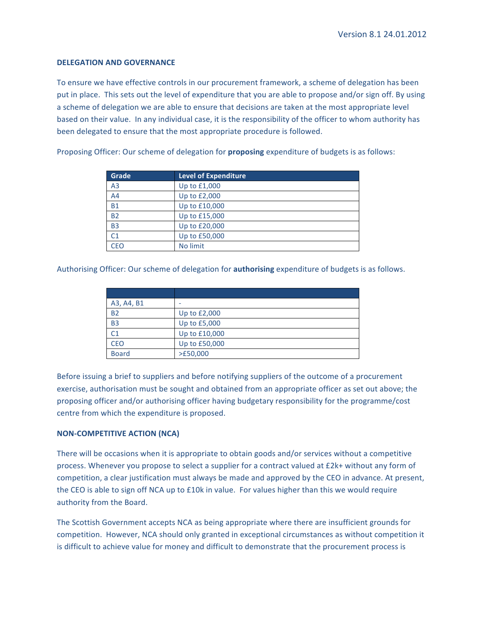#### **DELEGATION AND GOVERNANCE**

To ensure we have effective controls in our procurement framework, a scheme of delegation has been put in place. This sets out the level of expenditure that you are able to propose and/or sign off. By using a scheme of delegation we are able to ensure that decisions are taken at the most appropriate level based on their value. In any individual case, it is the responsibility of the officer to whom authority has been delegated to ensure that the most appropriate procedure is followed.

| Grade          | <b>Level of Expenditure</b> |
|----------------|-----------------------------|
| A <sub>3</sub> | Up to £1,000                |
| A <sub>4</sub> | Up to £2,000                |
| <b>B1</b>      | Up to £10,000               |
| <b>B2</b>      | Up to £15,000               |
| <b>B3</b>      | Up to £20,000               |
| C1             | Up to £50,000               |
| CEO            | No limit                    |

Proposing Officer: Our scheme of delegation for **proposing** expenditure of budgets is as follows:

Authorising Officer: Our scheme of delegation for **authorising** expenditure of budgets is as follows.

| A3, A4, B1   |               |
|--------------|---------------|
| <b>B2</b>    | Up to £2,000  |
| <b>B3</b>    | Up to £5,000  |
| C1           | Up to £10,000 |
| <b>CEO</b>   | Up to £50,000 |
| <b>Board</b> | >E50,000      |

Before issuing a brief to suppliers and before notifying suppliers of the outcome of a procurement exercise, authorisation must be sought and obtained from an appropriate officer as set out above; the proposing officer and/or authorising officer having budgetary responsibility for the programme/cost centre from which the expenditure is proposed.

#### **NON-COMPETITIVE ACTION (NCA)**

There will be occasions when it is appropriate to obtain goods and/or services without a competitive process. Whenever you propose to select a supplier for a contract valued at £2k+ without any form of competition, a clear justification must always be made and approved by the CEO in advance. At present, the CEO is able to sign off NCA up to  $£10k$  in value. For values higher than this we would require authority from the Board.

The Scottish Government accepts NCA as being appropriate where there are insufficient grounds for competition. However, NCA should only granted in exceptional circumstances as without competition it is difficult to achieve value for money and difficult to demonstrate that the procurement process is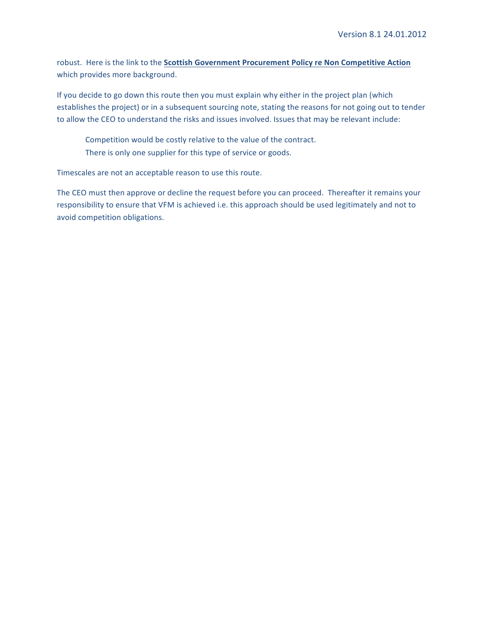robust. Here is the link to the **Scottish Government Procurement Policy re Non Competitive Action** which provides more background.

If you decide to go down this route then you must explain why either in the project plan (which establishes the project) or in a subsequent sourcing note, stating the reasons for not going out to tender to allow the CEO to understand the risks and issues involved. Issues that may be relevant include:

Competition would be costly relative to the value of the contract. There is only one supplier for this type of service or goods.

Timescales are not an acceptable reason to use this route.

The CEO must then approve or decline the request before you can proceed. Thereafter it remains your responsibility to ensure that VFM is achieved i.e. this approach should be used legitimately and not to avoid competition obligations.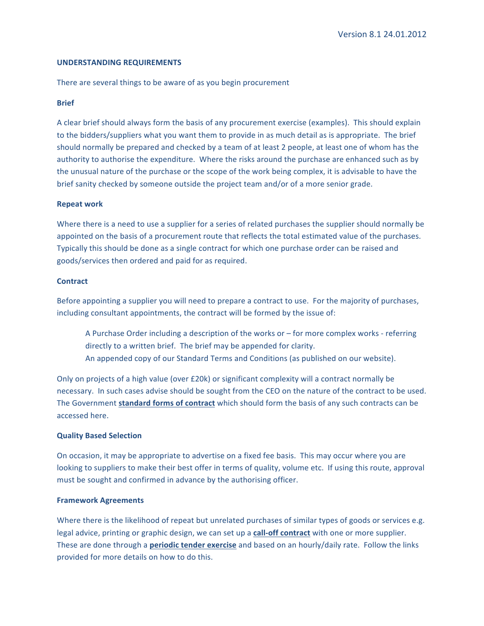#### **UNDERSTANDING REQUIREMENTS**

There are several things to be aware of as you begin procurement

#### **Brief**

A clear brief should always form the basis of any procurement exercise (examples). This should explain to the bidders/suppliers what you want them to provide in as much detail as is appropriate. The brief should normally be prepared and checked by a team of at least 2 people, at least one of whom has the authority to authorise the expenditure. Where the risks around the purchase are enhanced such as by the unusual nature of the purchase or the scope of the work being complex, it is advisable to have the brief sanity checked by someone outside the project team and/or of a more senior grade.

#### **Repeat work**

Where there is a need to use a supplier for a series of related purchases the supplier should normally be appointed on the basis of a procurement route that reflects the total estimated value of the purchases. Typically this should be done as a single contract for which one purchase order can be raised and goods/services then ordered and paid for as required.

#### **Contract**

Before appointing a supplier you will need to prepare a contract to use. For the majority of purchases, including consultant appointments, the contract will be formed by the issue of:

A Purchase Order including a description of the works or  $-$  for more complex works - referring directly to a written brief. The brief may be appended for clarity. An appended copy of our Standard Terms and Conditions (as published on our website).

Only on projects of a high value (over  $E20k$ ) or significant complexity will a contract normally be necessary. In such cases advise should be sought from the CEO on the nature of the contract to be used. The Government **standard forms of contract** which should form the basis of any such contracts can be accessed here. 

#### **Quality Based Selection**

On occasion, it may be appropriate to advertise on a fixed fee basis. This may occur where you are looking to suppliers to make their best offer in terms of quality, volume etc. If using this route, approval must be sought and confirmed in advance by the authorising officer.

#### **Framework Agreements**

Where there is the likelihood of repeat but unrelated purchases of similar types of goods or services e.g. legal advice, printing or graphic design, we can set up a call-off contract with one or more supplier. These are done through a **periodic tender exercise** and based on an hourly/daily rate. Follow the links provided for more details on how to do this.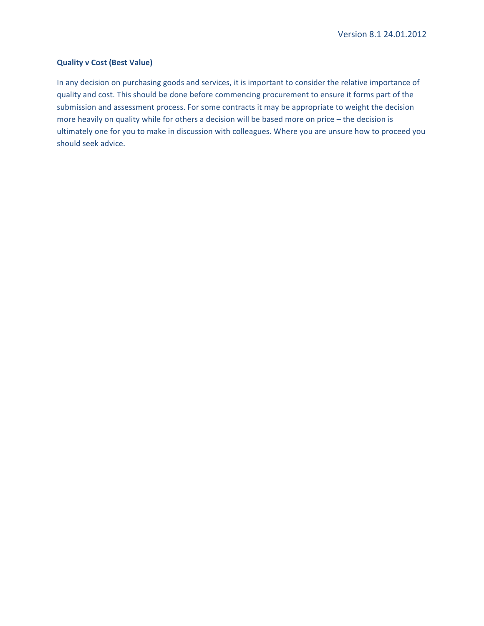# **Quality v Cost (Best Value)**

In any decision on purchasing goods and services, it is important to consider the relative importance of quality and cost. This should be done before commencing procurement to ensure it forms part of the submission and assessment process. For some contracts it may be appropriate to weight the decision more heavily on quality while for others a decision will be based more on price - the decision is ultimately one for you to make in discussion with colleagues. Where you are unsure how to proceed you should seek advice.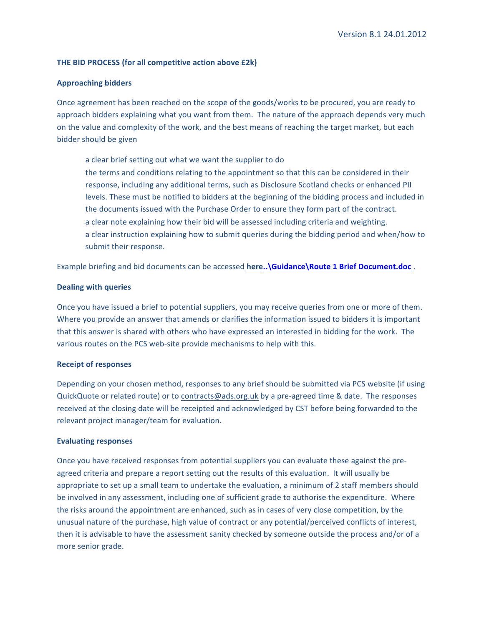#### **THE BID PROCESS (for all competitive action above £2k)**

#### **Approaching bidders**

Once agreement has been reached on the scope of the goods/works to be procured, you are ready to approach bidders explaining what you want from them. The nature of the approach depends very much on the value and complexity of the work, and the best means of reaching the target market, but each bidder should be given

a clear brief setting out what we want the supplier to do the terms and conditions relating to the appointment so that this can be considered in their response, including any additional terms, such as Disclosure Scotland checks or enhanced PII levels. These must be notified to bidders at the beginning of the bidding process and included in the documents issued with the Purchase Order to ensure they form part of the contract. a clear note explaining how their bid will be assessed including criteria and weighting. a clear instruction explaining how to submit queries during the bidding period and when/how to submit their response.

Example briefing and bid documents can be accessed here.. **\Guidance \Route 1 Brief Document.doc** .

#### **Dealing with queries**

Once you have issued a brief to potential suppliers, you may receive queries from one or more of them. Where you provide an answer that amends or clarifies the information issued to bidders it is important that this answer is shared with others who have expressed an interested in bidding for the work. The various routes on the PCS web-site provide mechanisms to help with this.

#### **Receipt of responses**

Depending on your chosen method, responses to any brief should be submitted via PCS website (if using QuickQuote or related route) or to contracts@ads.org.uk by a pre-agreed time & date. The responses received at the closing date will be receipted and acknowledged by CST before being forwarded to the relevant project manager/team for evaluation.

#### **Evaluating responses**

Once you have received responses from potential suppliers you can evaluate these against the preagreed criteria and prepare a report setting out the results of this evaluation. It will usually be appropriate to set up a small team to undertake the evaluation, a minimum of 2 staff members should be involved in any assessment, including one of sufficient grade to authorise the expenditure. Where the risks around the appointment are enhanced, such as in cases of very close competition, by the unusual nature of the purchase, high value of contract or any potential/perceived conflicts of interest, then it is advisable to have the assessment sanity checked by someone outside the process and/or of a more senior grade.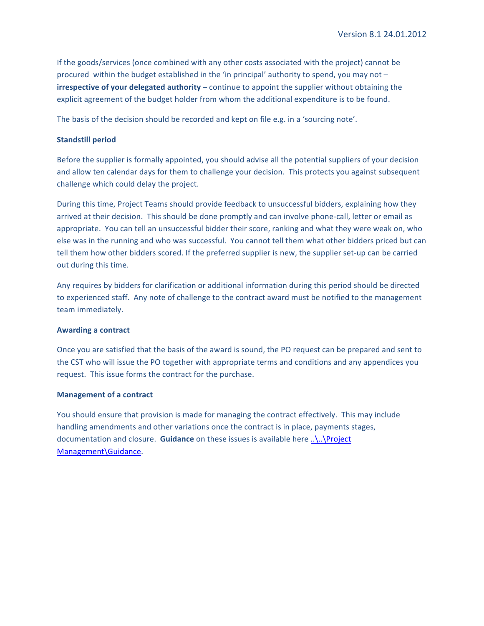If the goods/services (once combined with any other costs associated with the project) cannot be procured within the budget established in the 'in principal' authority to spend, you may not  $$ **irrespective of your delegated authority** – continue to appoint the supplier without obtaining the explicit agreement of the budget holder from whom the additional expenditure is to be found.

The basis of the decision should be recorded and kept on file e.g. in a 'sourcing note'.

#### **Standstill period**

Before the supplier is formally appointed, you should advise all the potential suppliers of your decision and allow ten calendar days for them to challenge your decision. This protects you against subsequent challenge which could delay the project.

During this time, Project Teams should provide feedback to unsuccessful bidders, explaining how they arrived at their decision. This should be done promptly and can involve phone-call, letter or email as appropriate. You can tell an unsuccessful bidder their score, ranking and what they were weak on, who else was in the running and who was successful. You cannot tell them what other bidders priced but can tell them how other bidders scored. If the preferred supplier is new, the supplier set-up can be carried out during this time.

Any requires by bidders for clarification or additional information during this period should be directed to experienced staff. Any note of challenge to the contract award must be notified to the management team immediately.

#### **Awarding a contract**

Once you are satisfied that the basis of the award is sound, the PO request can be prepared and sent to the CST who will issue the PO together with appropriate terms and conditions and any appendices you request. This issue forms the contract for the purchase.

#### **Management of a contract**

You should ensure that provision is made for managing the contract effectively. This may include handling amendments and other variations once the contract is in place, payments stages, documentation and closure. Guidance on these issues is available here ..\..\Project Management\Guidance.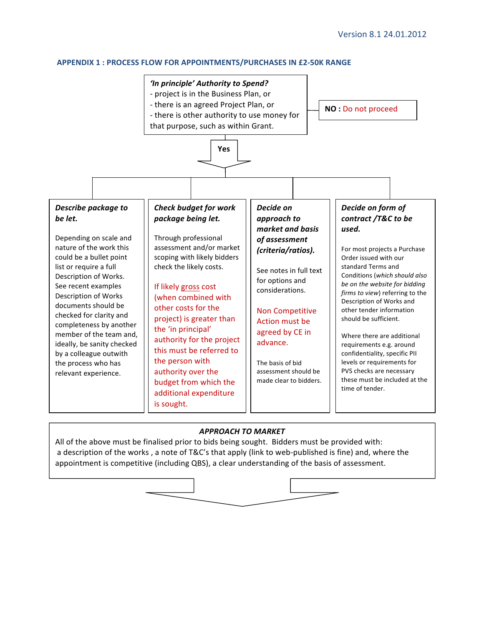#### **APPENDIX 1: PROCESS FLOW FOR APPOINTMENTS/PURCHASES IN £2-50K RANGE**



# *APPROACH TO MARKET*

All of the above must be finalised prior to bids being sought. Bidders must be provided with: a description of the works, a note of T&C's that apply (link to web-published is fine) and, where the appointment is competitive (including QBS), a clear understanding of the basis of assessment.